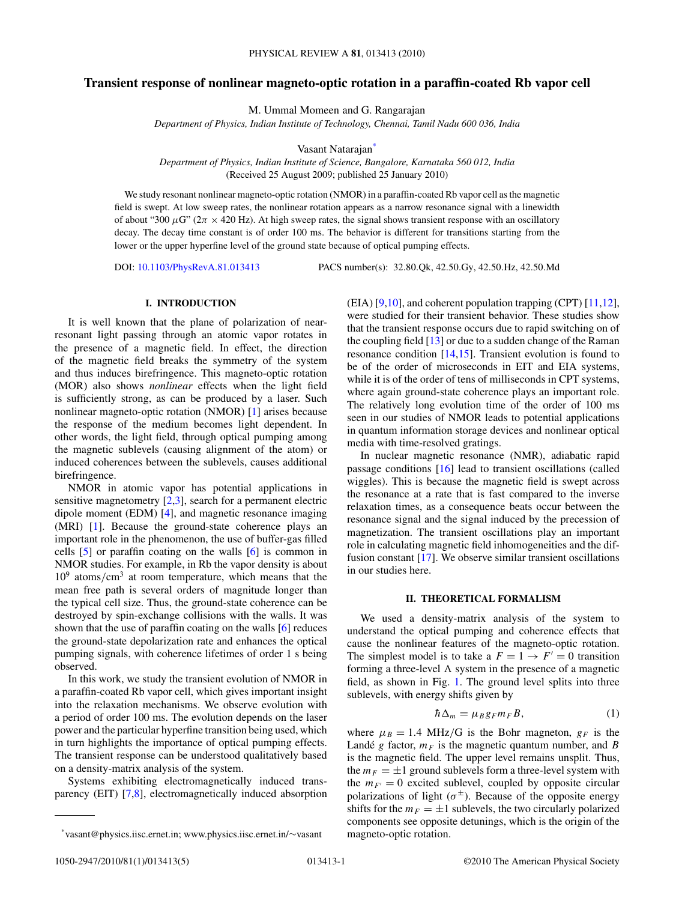# **Transient response of nonlinear magneto-optic rotation in a paraffin-coated Rb vapor cell**

M. Ummal Momeen and G. Rangarajan

*Department of Physics, Indian Institute of Technology, Chennai, Tamil Nadu 600 036, India*

Vasant Natarajan\*

*Department of Physics, Indian Institute of Science, Bangalore, Karnataka 560 012, India* (Received 25 August 2009; published 25 January 2010)

We study resonant nonlinear magneto-optic rotation (NMOR) in a paraffin-coated Rb vapor cell as the magnetic field is swept. At low sweep rates, the nonlinear rotation appears as a narrow resonance signal with a linewidth of about "300  $\mu$ G" ( $2\pi \times 420$  Hz). At high sweep rates, the signal shows transient response with an oscillatory decay. The decay time constant is of order 100 ms. The behavior is different for transitions starting from the lower or the upper hyperfine level of the ground state because of optical pumping effects.

DOI: [10.1103/PhysRevA.81.013413](http://dx.doi.org/10.1103/PhysRevA.81.013413) PACS number(s): 32*.*80*.*Qk, 42*.*50*.*Gy, 42*.*50*.*Hz, 42*.*50*.*Md

## **I. INTRODUCTION**

It is well known that the plane of polarization of nearresonant light passing through an atomic vapor rotates in the presence of a magnetic field. In effect, the direction of the magnetic field breaks the symmetry of the system and thus induces birefringence. This magneto-optic rotation (MOR) also shows *nonlinear* effects when the light field is sufficiently strong, as can be produced by a laser. Such nonlinear magneto-optic rotation (NMOR) [\[1\]](#page-4-0) arises because the response of the medium becomes light dependent. In other words, the light field, through optical pumping among the magnetic sublevels (causing alignment of the atom) or induced coherences between the sublevels, causes additional birefringence.

NMOR in atomic vapor has potential applications in sensitive magnetometry [\[2,3\]](#page-4-0), search for a permanent electric dipole moment (EDM) [\[4\]](#page-4-0), and magnetic resonance imaging (MRI) [\[1\]](#page-4-0). Because the ground-state coherence plays an important role in the phenomenon, the use of buffer-gas filled cells [\[5\]](#page-4-0) or paraffin coating on the walls [\[6\]](#page-4-0) is common in NMOR studies. For example, in Rb the vapor density is about 109 atoms*/*cm3 at room temperature, which means that the mean free path is several orders of magnitude longer than the typical cell size. Thus, the ground-state coherence can be destroyed by spin-exchange collisions with the walls. It was shown that the use of paraffin coating on the walls [\[6\]](#page-4-0) reduces the ground-state depolarization rate and enhances the optical pumping signals, with coherence lifetimes of order 1 s being observed.

In this work, we study the transient evolution of NMOR in a paraffin-coated Rb vapor cell, which gives important insight into the relaxation mechanisms. We observe evolution with a period of order 100 ms. The evolution depends on the laser power and the particular hyperfine transition being used, which in turn highlights the importance of optical pumping effects. The transient response can be understood qualitatively based on a density-matrix analysis of the system.

Systems exhibiting electromagnetically induced transparency (EIT) [\[7,8\]](#page-4-0), electromagnetically induced absorption (EIA) [\[9,10\]](#page-4-0), and coherent population trapping (CPT) [\[11,12\]](#page-4-0), were studied for their transient behavior. These studies show that the transient response occurs due to rapid switching on of the coupling field  $[13]$  or due to a sudden change of the Raman resonance condition [\[14,15\]](#page-4-0). Transient evolution is found to be of the order of microseconds in EIT and EIA systems, while it is of the order of tens of milliseconds in CPT systems, where again ground-state coherence plays an important role. The relatively long evolution time of the order of 100 ms seen in our studies of NMOR leads to potential applications in quantum information storage devices and nonlinear optical media with time-resolved gratings.

In nuclear magnetic resonance (NMR), adiabatic rapid passage conditions [\[16\]](#page-4-0) lead to transient oscillations (called wiggles). This is because the magnetic field is swept across the resonance at a rate that is fast compared to the inverse relaxation times, as a consequence beats occur between the resonance signal and the signal induced by the precession of magnetization. The transient oscillations play an important role in calculating magnetic field inhomogeneities and the diffusion constant [\[17\]](#page-4-0). We observe similar transient oscillations in our studies here.

# **II. THEORETICAL FORMALISM**

We used a density-matrix analysis of the system to understand the optical pumping and coherence effects that cause the nonlinear features of the magneto-optic rotation. The simplest model is to take a  $F = 1 \rightarrow F' = 0$  transition forming a three-level  $\Lambda$  system in the presence of a magnetic field, as shown in Fig. [1.](#page-1-0) The ground level splits into three sublevels, with energy shifts given by

$$
\hbar \Delta_m = \mu_B g_F m_F B, \qquad (1)
$$

where  $\mu_B = 1.4 \text{ MHz/G}$  is the Bohr magneton,  $g_F$  is the Landé *g* factor,  $m_F$  is the magnetic quantum number, and *B* is the magnetic field. The upper level remains unsplit. Thus, the  $m_F = \pm 1$  ground sublevels form a three-level system with the  $m_F = 0$  excited sublevel, coupled by opposite circular polarizations of light  $(\sigma^{\pm})$ . Because of the opposite energy shifts for the  $m_F = \pm 1$  sublevels, the two circularly polarized components see opposite detunings, which is the origin of the magneto-optic rotation.

<sup>\*</sup>vasant@physics.iisc.ernet.in; www.physics.iisc.ernet.in/∼vasant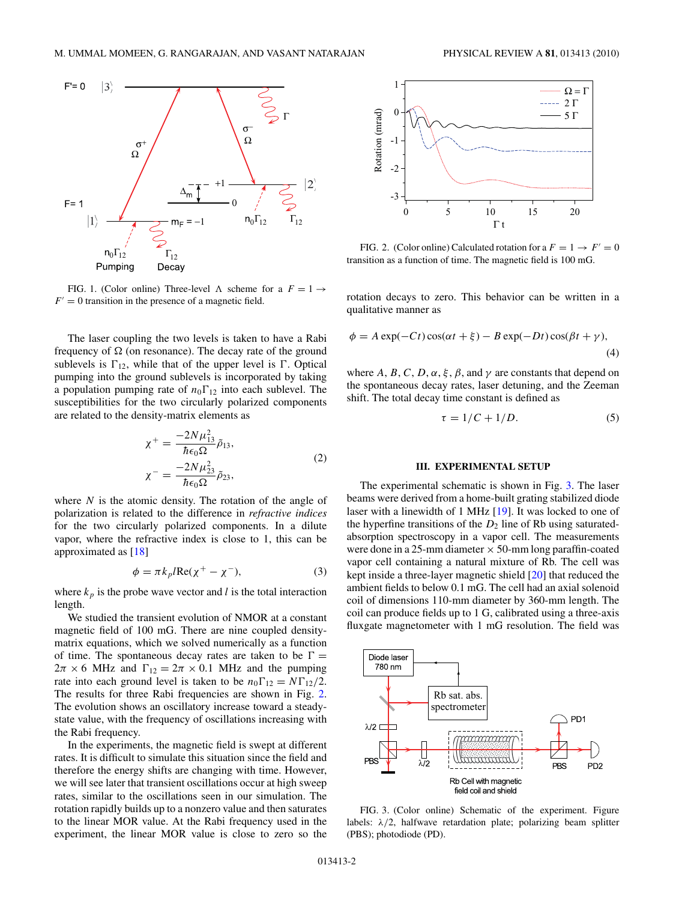<span id="page-1-0"></span>

FIG. 1. (Color online) Three-level  $\Lambda$  scheme for a  $F = 1 \rightarrow$  $F' = 0$  transition in the presence of a magnetic field.

The laser coupling the two levels is taken to have a Rabi frequency of  $\Omega$  (on resonance). The decay rate of the ground sublevels is  $\Gamma_{12}$ , while that of the upper level is  $\Gamma$ . Optical pumping into the ground sublevels is incorporated by taking a population pumping rate of  $n_0 \Gamma_{12}$  into each sublevel. The susceptibilities for the two circularly polarized components are related to the density-matrix elements as

$$
\chi^{+} = \frac{-2N\mu_{13}^{2}}{\hbar\epsilon_{0}\Omega}\tilde{\rho}_{13},
$$
  

$$
\chi^{-} = \frac{-2N\mu_{23}^{2}}{\hbar\epsilon_{0}\Omega}\tilde{\rho}_{23},
$$
 (2)

where *N* is the atomic density. The rotation of the angle of polarization is related to the difference in *refractive indices* for the two circularly polarized components. In a dilute vapor, where the refractive index is close to 1, this can be approximated as [\[18\]](#page-4-0)

$$
\phi = \pi k_p l \text{Re}(\chi^+ - \chi^-),\tag{3}
$$

where  $k_p$  is the probe wave vector and *l* is the total interaction length.

We studied the transient evolution of NMOR at a constant magnetic field of 100 mG. There are nine coupled densitymatrix equations, which we solved numerically as a function of time. The spontaneous decay rates are taken to be  $\Gamma =$  $2\pi \times 6$  MHz and  $\Gamma_{12} = 2\pi \times 0.1$  MHz and the pumping rate into each ground level is taken to be  $n_0 \Gamma_{12} = N \Gamma_{12}/2$ . The results for three Rabi frequencies are shown in Fig. 2. The evolution shows an oscillatory increase toward a steadystate value, with the frequency of oscillations increasing with the Rabi frequency.

In the experiments, the magnetic field is swept at different rates. It is difficult to simulate this situation since the field and therefore the energy shifts are changing with time. However, we will see later that transient oscillations occur at high sweep rates, similar to the oscillations seen in our simulation. The rotation rapidly builds up to a nonzero value and then saturates to the linear MOR value. At the Rabi frequency used in the experiment, the linear MOR value is close to zero so the



FIG. 2. (Color online) Calculated rotation for a  $F = 1 \rightarrow F' = 0$ transition as a function of time. The magnetic field is 100 mG.

rotation decays to zero. This behavior can be written in a qualitative manner as

$$
\phi = A \exp(-Ct) \cos(\alpha t + \xi) - B \exp(-Dt) \cos(\beta t + \gamma),\tag{4}
$$

where *A*, *B*, *C*, *D*,  $\alpha$ ,  $\xi$ ,  $\beta$ , and  $\gamma$  are constants that depend on the spontaneous decay rates, laser detuning, and the Zeeman shift. The total decay time constant is defined as

$$
\tau = 1/C + 1/D. \tag{5}
$$

## **III. EXPERIMENTAL SETUP**

The experimental schematic is shown in Fig. 3. The laser beams were derived from a home-built grating stabilized diode laser with a linewidth of 1 MHz [\[19\]](#page-4-0). It was locked to one of the hyperfine transitions of the  $D_2$  line of Rb using saturatedabsorption spectroscopy in a vapor cell. The measurements were done in a 25-mm diameter  $\times$  50-mm long paraffin-coated vapor cell containing a natural mixture of Rb. The cell was kept inside a three-layer magnetic shield [\[20\]](#page-4-0) that reduced the ambient fields to below 0.1 mG. The cell had an axial solenoid coil of dimensions 110-mm diameter by 360-mm length. The coil can produce fields up to 1 G, calibrated using a three-axis fluxgate magnetometer with 1 mG resolution. The field was



FIG. 3. (Color online) Schematic of the experiment. Figure labels: *λ/*2, halfwave retardation plate; polarizing beam splitter (PBS); photodiode (PD).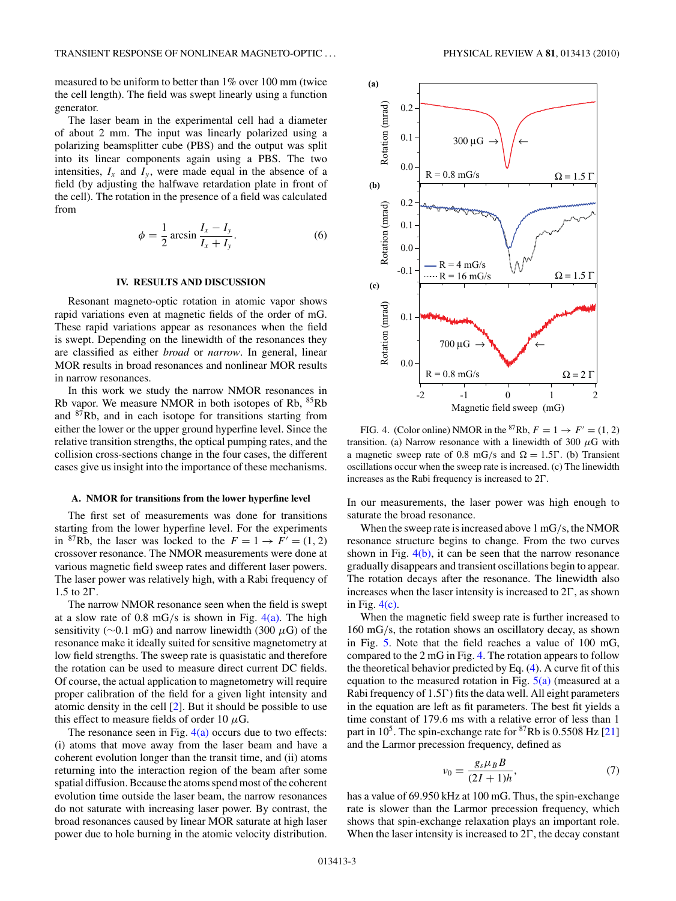<span id="page-2-0"></span>measured to be uniform to better than 1% over 100 mm (twice the cell length). The field was swept linearly using a function generator.

The laser beam in the experimental cell had a diameter of about 2 mm. The input was linearly polarized using a polarizing beamsplitter cube (PBS) and the output was split into its linear components again using a PBS. The two intensities,  $I_x$  and  $I_y$ , were made equal in the absence of a field (by adjusting the halfwave retardation plate in front of the cell). The rotation in the presence of a field was calculated from

$$
\phi = \frac{1}{2}\arcsin\frac{I_x - I_y}{I_x + I_y}.\tag{6}
$$

#### **IV. RESULTS AND DISCUSSION**

Resonant magneto-optic rotation in atomic vapor shows rapid variations even at magnetic fields of the order of mG. These rapid variations appear as resonances when the field is swept. Depending on the linewidth of the resonances they are classified as either *broad* or *narrow*. In general, linear MOR results in broad resonances and nonlinear MOR results in narrow resonances.

In this work we study the narrow NMOR resonances in Rb vapor. We measure NMOR in both isotopes of Rb, 85Rb and  $87Rb$ , and in each isotope for transitions starting from either the lower or the upper ground hyperfine level. Since the relative transition strengths, the optical pumping rates, and the collision cross-sections change in the four cases, the different cases give us insight into the importance of these mechanisms.

#### **A. NMOR for transitions from the lower hyperfine level**

The first set of measurements was done for transitions starting from the lower hyperfine level. For the experiments in <sup>87</sup>Rb, the laser was locked to the  $F = 1 \rightarrow F' = (1, 2)$ crossover resonance. The NMOR measurements were done at various magnetic field sweep rates and different laser powers. The laser power was relatively high, with a Rabi frequency of 1.5 to  $2\Gamma$ .

The narrow NMOR resonance seen when the field is swept at a slow rate of 0.8 mG*/*s is shown in Fig. 4(a). The high sensitivity (∼0.1 mG) and narrow linewidth (300 *µ*G) of the resonance make it ideally suited for sensitive magnetometry at low field strengths. The sweep rate is quasistatic and therefore the rotation can be used to measure direct current DC fields. Of course, the actual application to magnetometry will require proper calibration of the field for a given light intensity and atomic density in the cell [\[2\]](#page-4-0). But it should be possible to use this effect to measure fields of order 10  $\mu$ G.

The resonance seen in Fig.  $4(a)$  occurs due to two effects: (i) atoms that move away from the laser beam and have a coherent evolution longer than the transit time, and (ii) atoms returning into the interaction region of the beam after some spatial diffusion. Because the atoms spend most of the coherent evolution time outside the laser beam, the narrow resonances do not saturate with increasing laser power. By contrast, the broad resonances caused by linear MOR saturate at high laser power due to hole burning in the atomic velocity distribution.



FIG. 4. (Color online) NMOR in the <sup>87</sup>Rb,  $F = 1 \rightarrow F' = (1, 2)$ transition. (a) Narrow resonance with a linewidth of 300  $\mu$ G with a magnetic sweep rate of 0.8 mG/s and  $\Omega = 1.5\Gamma$ . (b) Transient oscillations occur when the sweep rate is increased. (c) The linewidth increases as the Rabi frequency is increased to  $2\Gamma$ .

In our measurements, the laser power was high enough to saturate the broad resonance.

When the sweep rate is increased above 1 mG*/*s, the NMOR resonance structure begins to change. From the two curves shown in Fig.  $4(b)$ , it can be seen that the narrow resonance gradually disappears and transient oscillations begin to appear. The rotation decays after the resonance. The linewidth also increases when the laser intensity is increased to  $2\Gamma$ , as shown in Fig.  $4(c)$ .

When the magnetic field sweep rate is further increased to 160 mG*/*s, the rotation shows an oscillatory decay, as shown in Fig. [5.](#page-3-0) Note that the field reaches a value of 100 mG, compared to the 2 mG in Fig. 4. The rotation appears to follow the theoretical behavior predicted by Eq. [\(4\)](#page-1-0). A curve fit of this equation to the measured rotation in Fig.  $5(a)$  (measured at a Rabi frequency of 1.5 $\Gamma$ ) fits the data well. All eight parameters in the equation are left as fit parameters. The best fit yields a time constant of 179*.*6 ms with a relative error of less than 1 part in 105. The spin-exchange rate for 87Rb is 0*.*5508 Hz [\[21\]](#page-4-0) and the Larmor precession frequency, defined as

$$
\nu_0 = \frac{g_s \mu_B B}{(2I+1)h},\tag{7}
$$

has a value of 69.950 kHz at 100 mG. Thus, the spin-exchange rate is slower than the Larmor precession frequency, which shows that spin-exchange relaxation plays an important role. When the laser intensity is increased to  $2\Gamma$ , the decay constant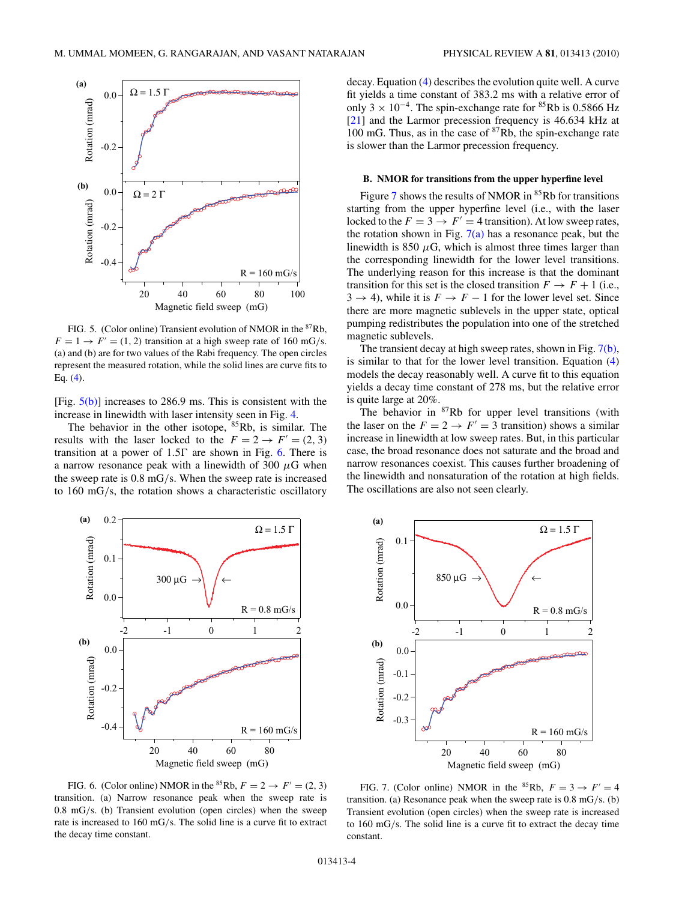<span id="page-3-0"></span>

FIG. 5. (Color online) Transient evolution of NMOR in the 87Rb,  $F = 1 \rightarrow F' = (1, 2)$  transition at a high sweep rate of 160 mG/s. (a) and (b) are for two values of the Rabi frequency. The open circles represent the measured rotation, while the solid lines are curve fits to Eq. [\(4\)](#page-1-0).

[Fig.  $5(b)$ ] increases to 286.9 ms. This is consistent with the increase in linewidth with laser intensity seen in Fig. [4.](#page-2-0)

The behavior in the other isotope,  ${}^{85}Rb$ , is similar. The results with the laser locked to the  $F = 2 \rightarrow F' = (2, 3)$ transition at a power of  $1.5\Gamma$  are shown in Fig. 6. There is a narrow resonance peak with a linewidth of 300  $\mu$ G when the sweep rate is 0.8 mG*/*s. When the sweep rate is increased to 160 mG*/*s, the rotation shows a characteristic oscillatory

decay. Equation [\(4\)](#page-1-0) describes the evolution quite well. A curve fit yields a time constant of 383.2 ms with a relative error of only  $3 \times 10^{-4}$ . The spin-exchange rate for <sup>85</sup>Rb is 0.5866 Hz [\[21\]](#page-4-0) and the Larmor precession frequency is 46.634 kHz at 100 mG. Thus, as in the case of  ${}^{87}Rb$ , the spin-exchange rate is slower than the Larmor precession frequency.

## **B. NMOR for transitions from the upper hyperfine level**

Figure 7 shows the results of NMOR in  $85Rb$  for transitions starting from the upper hyperfine level (i.e., with the laser locked to the  $F = 3 \rightarrow F' = 4$  transition). At low sweep rates, the rotation shown in Fig.  $7(a)$  has a resonance peak, but the linewidth is 850  $\mu$ G, which is almost three times larger than the corresponding linewidth for the lower level transitions. The underlying reason for this increase is that the dominant transition for this set is the closed transition  $F \to F + 1$  (i.e.,  $3 \rightarrow 4$ ), while it is  $F \rightarrow F - 1$  for the lower level set. Since there are more magnetic sublevels in the upper state, optical pumping redistributes the population into one of the stretched magnetic sublevels.

The transient decay at high sweep rates, shown in Fig. 7(b), is similar to that for the lower level transition. Equation [\(4\)](#page-1-0) models the decay reasonably well. A curve fit to this equation yields a decay time constant of 278 ms, but the relative error is quite large at 20%.

The behavior in <sup>87</sup>Rb for upper level transitions (with the laser on the  $F = 2 \rightarrow F' = 3$  transition) shows a similar increase in linewidth at low sweep rates. But, in this particular case, the broad resonance does not saturate and the broad and narrow resonances coexist. This causes further broadening of the linewidth and nonsaturation of the rotation at high fields. The oscillations are also not seen clearly.

 $Ω = 1.5$  Γ

0.1

**(a)**



Rotation (mrad) Rotation (mrad) 850 µG → ← 0.0  $R = 0.8$  mG/s  $-2$   $-1$  0 1 2 **(b)** 0.0 Rotation (mrad) Rotation (mrad) -0.1 -0.2 -0.3  $R = 160$  mG/s 20 40 60 80 Magnetic field sweep (mG)

FIG. 6. (Color online) NMOR in the <sup>85</sup>Rb,  $F = 2 \rightarrow F' = (2, 3)$ transition. (a) Narrow resonance peak when the sweep rate is 0.8 mG*/*s. (b) Transient evolution (open circles) when the sweep rate is increased to 160 mG*/*s. The solid line is a curve fit to extract the decay time constant.

FIG. 7. (Color online) NMOR in the <sup>85</sup>Rb,  $F = 3 \rightarrow F' = 4$ transition. (a) Resonance peak when the sweep rate is 0.8 mG*/*s. (b) Transient evolution (open circles) when the sweep rate is increased to 160 mG*/*s. The solid line is a curve fit to extract the decay time constant.